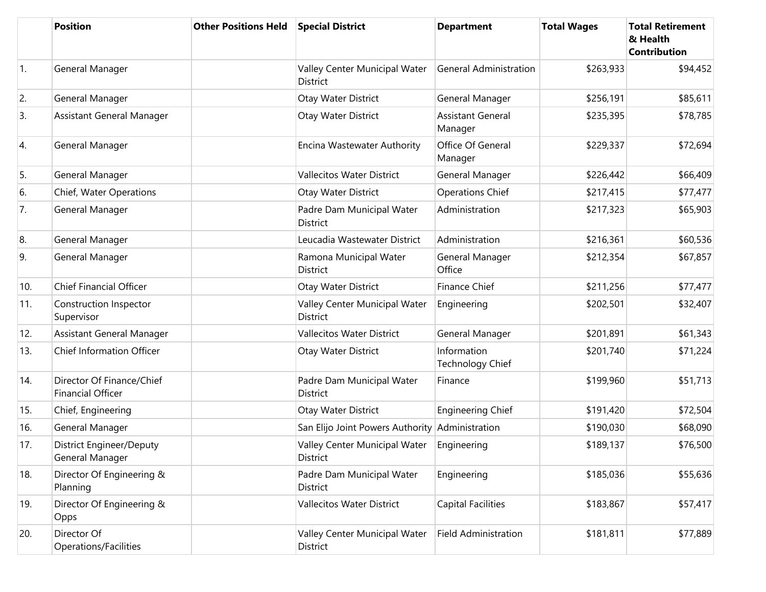|     | <b>Position</b>                                       | <b>Other Positions Held</b> | <b>Special District</b>                          | <b>Department</b>                   | <b>Total Wages</b> | <b>Total Retirement</b><br>& Health<br><b>Contribution</b> |
|-----|-------------------------------------------------------|-----------------------------|--------------------------------------------------|-------------------------------------|--------------------|------------------------------------------------------------|
| 1.  | General Manager                                       |                             | Valley Center Municipal Water<br><b>District</b> | <b>General Administration</b>       | \$263,933          | \$94,452                                                   |
| 2.  | General Manager                                       |                             | Otay Water District                              | General Manager                     | \$256,191          | \$85,611                                                   |
| 3.  | Assistant General Manager                             |                             | Otay Water District                              | <b>Assistant General</b><br>Manager | \$235,395          | \$78,785                                                   |
| 4.  | General Manager                                       |                             | Encina Wastewater Authority                      | Office Of General<br>Manager        | \$229,337          | \$72,694                                                   |
| 5.  | General Manager                                       |                             | <b>Vallecitos Water District</b>                 | General Manager                     | \$226,442          | \$66,409                                                   |
| 6.  | Chief, Water Operations                               |                             | Otay Water District                              | <b>Operations Chief</b>             | \$217,415          | \$77,477                                                   |
| 7.  | General Manager                                       |                             | Padre Dam Municipal Water<br><b>District</b>     | Administration                      | \$217,323          | \$65,903                                                   |
| 8.  | General Manager                                       |                             | Leucadia Wastewater District                     | Administration                      | \$216,361          | \$60,536                                                   |
| 9.  | General Manager                                       |                             | Ramona Municipal Water<br><b>District</b>        | General Manager<br>Office           | \$212,354          | \$67,857                                                   |
| 10. | <b>Chief Financial Officer</b>                        |                             | Otay Water District                              | <b>Finance Chief</b>                | \$211,256          | \$77,477                                                   |
| 11. | Construction Inspector<br>Supervisor                  |                             | Valley Center Municipal Water<br>District        | Engineering                         | \$202,501          | \$32,407                                                   |
| 12. | Assistant General Manager                             |                             | <b>Vallecitos Water District</b>                 | General Manager                     | \$201,891          | \$61,343                                                   |
| 13. | Chief Information Officer                             |                             | Otay Water District                              | Information<br>Technology Chief     | \$201,740          | \$71,224                                                   |
| 14. | Director Of Finance/Chief<br><b>Financial Officer</b> |                             | Padre Dam Municipal Water<br><b>District</b>     | Finance                             | \$199,960          | \$51,713                                                   |
| 15. | Chief, Engineering                                    |                             | Otay Water District                              | <b>Engineering Chief</b>            | \$191,420          | \$72,504                                                   |
| 16. | General Manager                                       |                             | San Elijo Joint Powers Authority                 | Administration                      | \$190,030          | \$68,090                                                   |
| 17. | <b>District Engineer/Deputy</b><br>General Manager    |                             | Valley Center Municipal Water<br>District        | Engineering                         | \$189,137          | \$76,500                                                   |
| 18. | Director Of Engineering &<br>Planning                 |                             | Padre Dam Municipal Water<br>District            | Engineering                         | \$185,036          | \$55,636                                                   |
| 19. | Director Of Engineering &<br>Opps                     |                             | Vallecitos Water District                        | Capital Facilities                  | \$183,867          | \$57,417                                                   |
| 20. | Director Of<br>Operations/Facilities                  |                             | Valley Center Municipal Water<br>District        | <b>Field Administration</b>         | \$181,811          | \$77,889                                                   |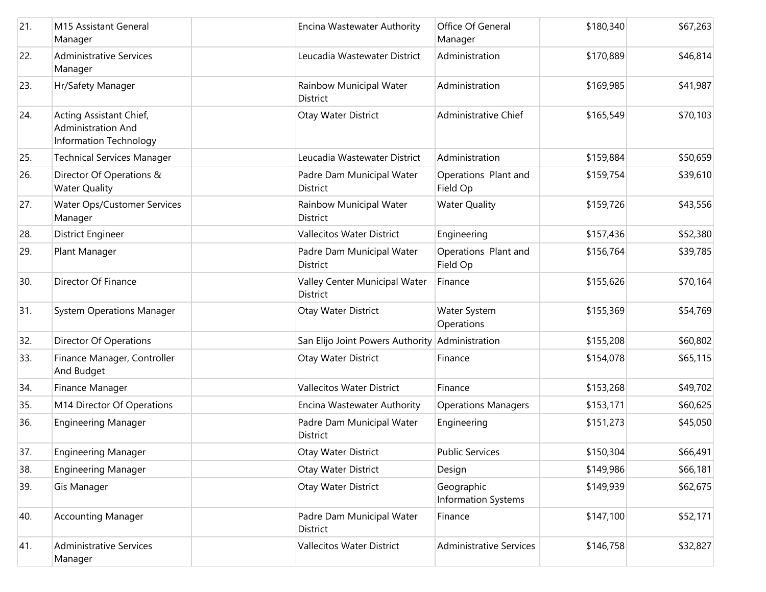| 21. | M15 Assistant General<br>Manager                                        | Encina Wastewater Authority                  | Office Of General<br>Manager             | \$180,340 | \$67,263 |
|-----|-------------------------------------------------------------------------|----------------------------------------------|------------------------------------------|-----------|----------|
| 22. | <b>Administrative Services</b><br>Manager                               | Leucadia Wastewater District                 | Administration                           | \$170,889 | \$46,814 |
| 23. | Hr/Safety Manager                                                       | Rainbow Municipal Water<br>District          | Administration                           | \$169,985 | \$41,987 |
| 24. | Acting Assistant Chief,<br>Administration And<br>Information Technology | Otay Water District                          | Administrative Chief                     | \$165,549 | \$70,103 |
| 25. | <b>Technical Services Manager</b>                                       | Leucadia Wastewater District                 | Administration                           | \$159,884 | \$50,659 |
| 26. | Director Of Operations &<br><b>Water Quality</b>                        | Padre Dam Municipal Water<br><b>District</b> | Operations Plant and<br>Field Op         | \$159,754 | \$39,610 |
| 27. | Water Ops/Customer Services<br>Manager                                  | Rainbow Municipal Water<br>District          | <b>Water Quality</b>                     | \$159,726 | \$43,556 |
| 28. | <b>District Engineer</b>                                                | Vallecitos Water District                    | Engineering                              | \$157,436 | \$52,380 |
| 29. | Plant Manager                                                           | Padre Dam Municipal Water<br><b>District</b> | Operations Plant and<br>Field Op         | \$156,764 | \$39,785 |
| 30. | Director Of Finance                                                     | Valley Center Municipal Water<br>District    | Finance                                  | \$155,626 | \$70,164 |
| 31. | <b>System Operations Manager</b>                                        | Otay Water District                          | Water System<br>Operations               | \$155,369 | \$54,769 |
| 32. | <b>Director Of Operations</b>                                           | San Elijo Joint Powers Authority             | Administration                           | \$155,208 | \$60,802 |
| 33. | Finance Manager, Controller<br>And Budget                               | Otay Water District                          | Finance                                  | \$154,078 | \$65,115 |
| 34. | Finance Manager                                                         | <b>Vallecitos Water District</b>             | Finance                                  | \$153,268 | \$49,702 |
| 35. | M14 Director Of Operations                                              | Encina Wastewater Authority                  | <b>Operations Managers</b>               | \$153,171 | \$60,625 |
| 36. | <b>Engineering Manager</b>                                              | Padre Dam Municipal Water<br>District        | Engineering                              | \$151,273 | \$45,050 |
| 37. | <b>Engineering Manager</b>                                              | Otay Water District                          | <b>Public Services</b>                   | \$150,304 | \$66,491 |
| 38. | <b>Engineering Manager</b>                                              | Otay Water District                          | Design                                   | \$149,986 | \$66,181 |
| 39. | Gis Manager                                                             | Otay Water District                          | Geographic<br><b>Information Systems</b> | \$149,939 | \$62,675 |
| 40. | <b>Accounting Manager</b>                                               | Padre Dam Municipal Water<br>District        | Finance                                  | \$147,100 | \$52,171 |
| 41. | <b>Administrative Services</b><br>Manager                               | <b>Vallecitos Water District</b>             | <b>Administrative Services</b>           | \$146,758 | \$32,827 |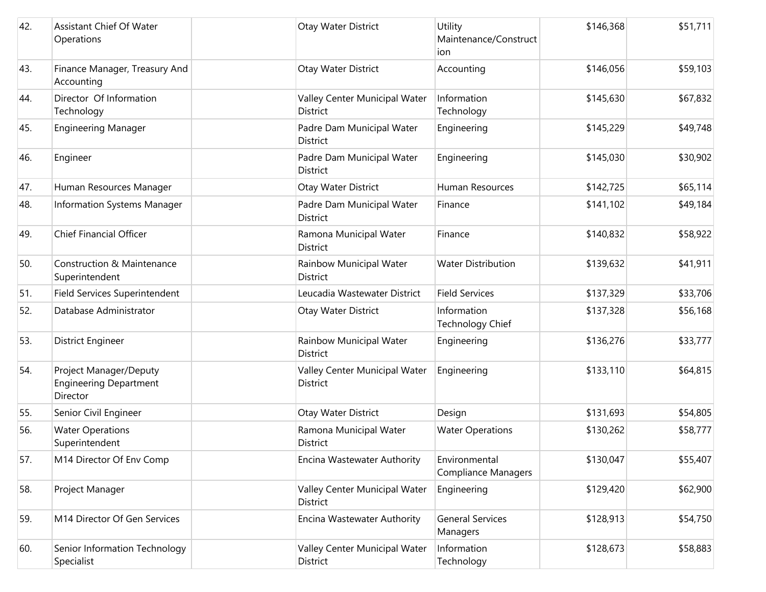| 42. | <b>Assistant Chief Of Water</b><br>Operations                       |                 | Otay Water District           | Utility<br>Maintenance/Construct<br>ion     | \$146,368 | \$51,711 |
|-----|---------------------------------------------------------------------|-----------------|-------------------------------|---------------------------------------------|-----------|----------|
| 43. | Finance Manager, Treasury And<br>Accounting                         |                 | Otay Water District           | Accounting                                  | \$146,056 | \$59,103 |
| 44. | Director Of Information<br>Technology                               | <b>District</b> | Valley Center Municipal Water | Information<br>Technology                   | \$145,630 | \$67,832 |
| 45. | <b>Engineering Manager</b>                                          | <b>District</b> | Padre Dam Municipal Water     | Engineering                                 | \$145,229 | \$49,748 |
| 46. | Engineer                                                            | <b>District</b> | Padre Dam Municipal Water     | Engineering                                 | \$145,030 | \$30,902 |
| 47. | Human Resources Manager                                             |                 | Otay Water District           | Human Resources                             | \$142,725 | \$65,114 |
| 48. | Information Systems Manager                                         | <b>District</b> | Padre Dam Municipal Water     | Finance                                     | \$141,102 | \$49,184 |
| 49. | <b>Chief Financial Officer</b>                                      | District        | Ramona Municipal Water        | Finance                                     | \$140,832 | \$58,922 |
| 50. | Construction & Maintenance<br>Superintendent                        | <b>District</b> | Rainbow Municipal Water       | <b>Water Distribution</b>                   | \$139,632 | \$41,911 |
| 51. | Field Services Superintendent                                       |                 | Leucadia Wastewater District  | <b>Field Services</b>                       | \$137,329 | \$33,706 |
| 52. | Database Administrator                                              |                 | Otay Water District           | Information<br>Technology Chief             | \$137,328 | \$56,168 |
| 53. | District Engineer                                                   | <b>District</b> | Rainbow Municipal Water       | Engineering                                 | \$136,276 | \$33,777 |
| 54. | Project Manager/Deputy<br><b>Engineering Department</b><br>Director | District        | Valley Center Municipal Water | Engineering                                 | \$133,110 | \$64,815 |
| 55. | Senior Civil Engineer                                               |                 | Otay Water District           | Design                                      | \$131,693 | \$54,805 |
| 56. | <b>Water Operations</b><br>Superintendent                           | <b>District</b> | Ramona Municipal Water        | <b>Water Operations</b>                     | \$130,262 | \$58,777 |
| 57. | M14 Director Of Env Comp                                            |                 | Encina Wastewater Authority   | Environmental<br><b>Compliance Managers</b> | \$130,047 | \$55,407 |
| 58. | Project Manager                                                     | District        | Valley Center Municipal Water | Engineering                                 | \$129,420 | \$62,900 |
| 59. | M14 Director Of Gen Services                                        |                 | Encina Wastewater Authority   | <b>General Services</b><br>Managers         | \$128,913 | \$54,750 |
| 60. | Senior Information Technology<br>Specialist                         | District        | Valley Center Municipal Water | Information<br>Technology                   | \$128,673 | \$58,883 |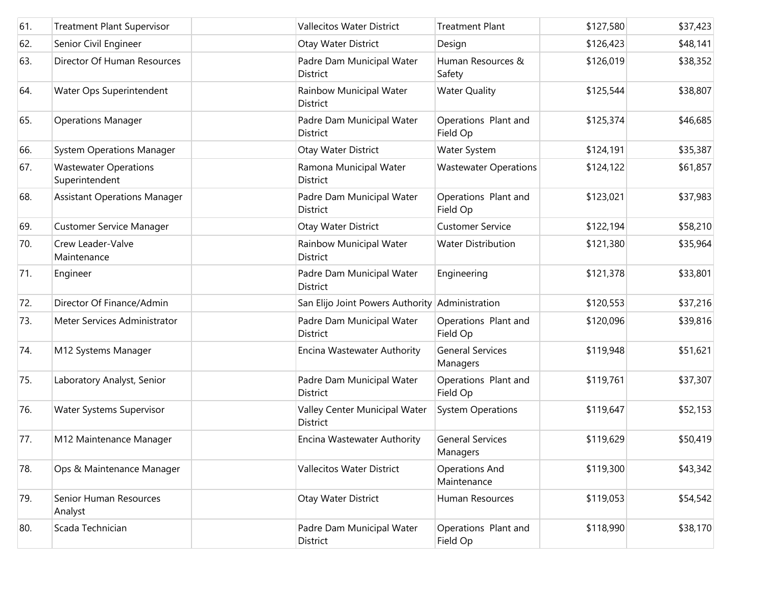| 61. | <b>Treatment Plant Supervisor</b>              | <b>Vallecitos Water District</b>                | <b>Treatment Plant</b>               | \$127,580 | \$37,423 |
|-----|------------------------------------------------|-------------------------------------------------|--------------------------------------|-----------|----------|
| 62. | Senior Civil Engineer                          | Otay Water District                             | Design                               | \$126,423 | \$48,141 |
| 63. | Director Of Human Resources                    | Padre Dam Municipal Water<br>District           | Human Resources &<br>Safety          | \$126,019 | \$38,352 |
| 64. | Water Ops Superintendent                       | Rainbow Municipal Water<br>District             | <b>Water Quality</b>                 | \$125,544 | \$38,807 |
| 65. | <b>Operations Manager</b>                      | Padre Dam Municipal Water<br>District           | Operations Plant and<br>Field Op     | \$125,374 | \$46,685 |
| 66. | <b>System Operations Manager</b>               | Otay Water District                             | Water System                         | \$124,191 | \$35,387 |
| 67. | <b>Wastewater Operations</b><br>Superintendent | Ramona Municipal Water<br>District              | <b>Wastewater Operations</b>         | \$124,122 | \$61,857 |
| 68. | <b>Assistant Operations Manager</b>            | Padre Dam Municipal Water<br>District           | Operations Plant and<br>Field Op     | \$123,021 | \$37,983 |
| 69. | Customer Service Manager                       | Otay Water District                             | <b>Customer Service</b>              | \$122,194 | \$58,210 |
| 70. | Crew Leader-Valve<br>Maintenance               | Rainbow Municipal Water<br><b>District</b>      | <b>Water Distribution</b>            | \$121,380 | \$35,964 |
| 71. | Engineer                                       | Padre Dam Municipal Water<br>District           | Engineering                          | \$121,378 | \$33,801 |
| 72. | Director Of Finance/Admin                      | San Elijo Joint Powers Authority Administration |                                      | \$120,553 | \$37,216 |
| 73. | Meter Services Administrator                   | Padre Dam Municipal Water<br><b>District</b>    | Operations Plant and<br>Field Op     | \$120,096 | \$39,816 |
| 74. | M12 Systems Manager                            | Encina Wastewater Authority                     | <b>General Services</b><br>Managers  | \$119,948 | \$51,621 |
| 75. | Laboratory Analyst, Senior                     | Padre Dam Municipal Water<br><b>District</b>    | Operations Plant and<br>Field Op     | \$119,761 | \$37,307 |
| 76. | Water Systems Supervisor                       | Valley Center Municipal Water<br>District       | <b>System Operations</b>             | \$119,647 | \$52,153 |
| 77. | M12 Maintenance Manager                        | Encina Wastewater Authority                     | <b>General Services</b><br>Managers  | \$119,629 | \$50,419 |
| 78. | Ops & Maintenance Manager                      | Vallecitos Water District                       | <b>Operations And</b><br>Maintenance | \$119,300 | \$43,342 |
| 79. | Senior Human Resources<br>Analyst              | Otay Water District                             | Human Resources                      | \$119,053 | \$54,542 |
| 80. | Scada Technician                               | Padre Dam Municipal Water<br>District           | Operations Plant and<br>Field Op     | \$118,990 | \$38,170 |